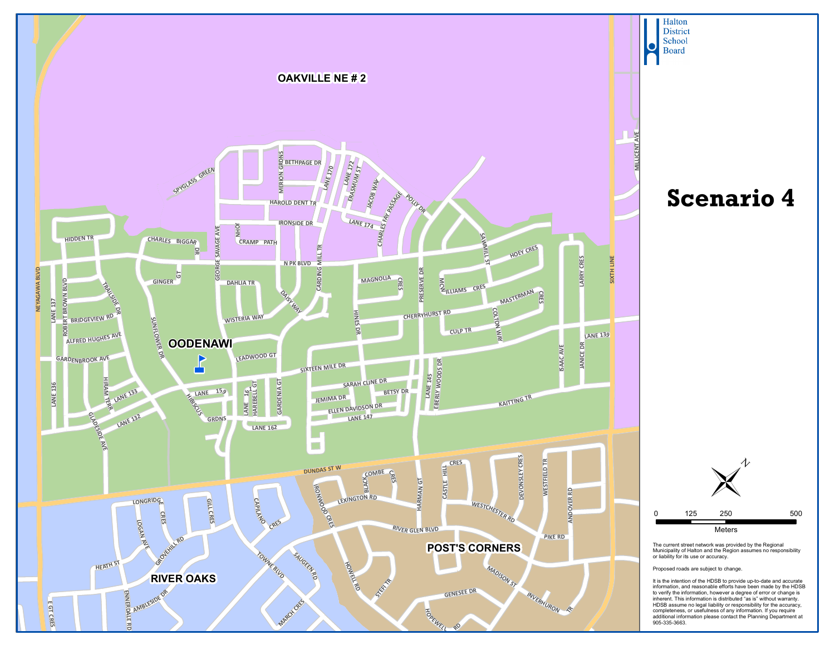